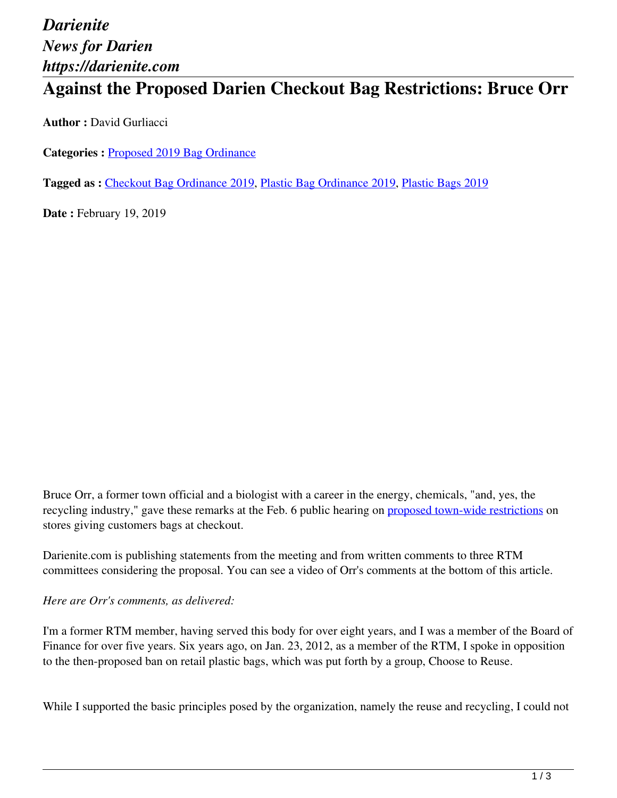# *Darienite News for Darien https://darienite.com*

## **Against the Proposed Darien Checkout Bag Restrictions: Bruce Orr**

**Author :** David Gurliacci

**Categories :** [Proposed 2019 Bag Ordinance](https://darienite.com/category/news/government-politics/proposed-2019-bag-ordinance)

**Tagged as :** Checkout Bag Ordinance 2019, Plastic Bag Ordinance 2019, Plastic Bags 2019

**Date : February 19, 2019** 

Bruce Orr, a former town official and a biologist with a career in the energy, chemicals, "and, yes, the recycling industry," gave these remarks at the Feb. 6 public hearing on proposed town-wide restrictions on stores giving customers bags at checkout.

Darienite.com is publishing statements from the meeting and from written comments to three RTM committees considering the proposal. You can see a video of Orr's comments at the bottom of this article.

#### *Here are Orr's comments, as delivered:*

I'm a former RTM member, having served this body for over eight years, and I was a member of the Board of Finance for over five years. Six years ago, on Jan. 23, 2012, as a member of the RTM, I spoke in opposition to the then-proposed ban on retail plastic bags, which was put forth by a group, Choose to Reuse.

While I supported the basic principles posed by the organization, namely the reuse and recycling, I could not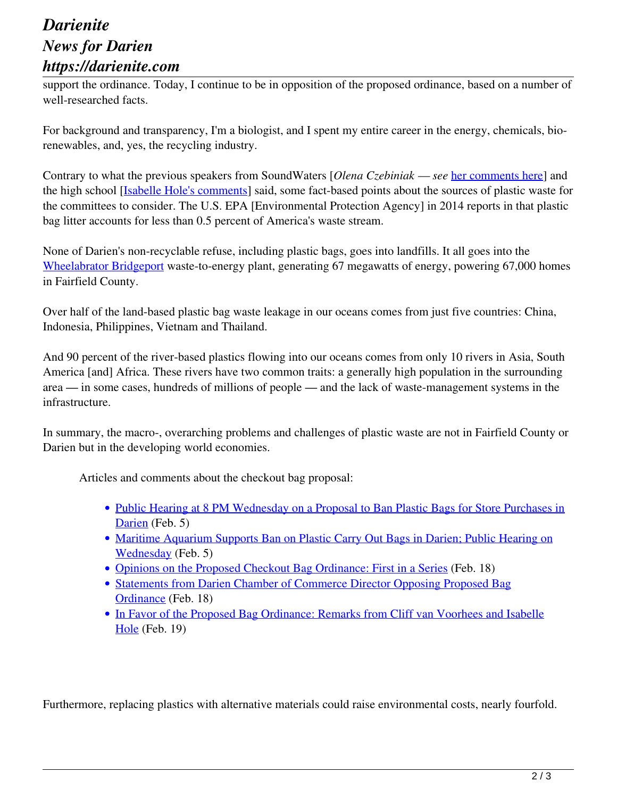### *Darienite News for Darien https://darienite.com*

support the ordinance. Today, I continue to be in opposition of the proposed ordinance, based on a number of well-researched facts.

For background and transparency, I'm a biologist, and I spent my entire career in the energy, chemicals, biorenewables, and, yes, the recycling industry.

Contrary to what the previous speakers from SoundWaters [*Olena Czebiniak — see* her comments here] and the high school [Isabelle Hole's comments] said, some fact-based points about the sources of plastic waste for the committees to consider. The U.S. EPA [Environmental Protection Agency] in 2014 reports in that plastic bag litter accounts for less than 0.5 percent of America's waste stream.

None of Darien's non-recyclable refuse, including plastic bags, goes into landfills. It all goes into the Wheelabrator Bridgeport waste-to-energy plant, generating 67 megawatts of energy, powering 67,000 homes in Fairfield County.

Over half of the land-based plastic bag waste leakage in our oceans comes from just five countries: China, Indonesia, Philippines, Vietnam and Thailand.

And 90 percent of the river-based plastics flowing into our oceans comes from only 10 rivers in Asia, South America [and] Africa. These rivers have two common traits: a generally high population in the surrounding area — in some cases, hundreds of millions of people — and the lack of waste-management systems in the infrastructure.

In summary, the macro-, overarching problems and challenges of plastic waste are not in Fairfield County or Darien but in the developing world economies.

Articles and comments about the checkout bag proposal:

- Public Hearing at 8 PM Wednesday on a Proposal to Ban Plastic Bags for Store Purchases in Darien (Feb. 5)
- Maritime Aquarium Supports Ban on Plastic Carry Out Bags in Darien; Public Hearing on Wednesday (Feb. 5)
- Opinions on the Proposed Checkout Bag Ordinance: First in a Series (Feb. 18)
- Statements from Darien Chamber of Commerce Director Opposing Proposed Bag Ordinance (Feb. 18)
- In Favor of the Proposed Bag Ordinance: Remarks from Cliff van Voorhees and Isabelle Hole (Feb. 19)

Furthermore, replacing plastics with alternative materials could raise environmental costs, nearly fourfold.